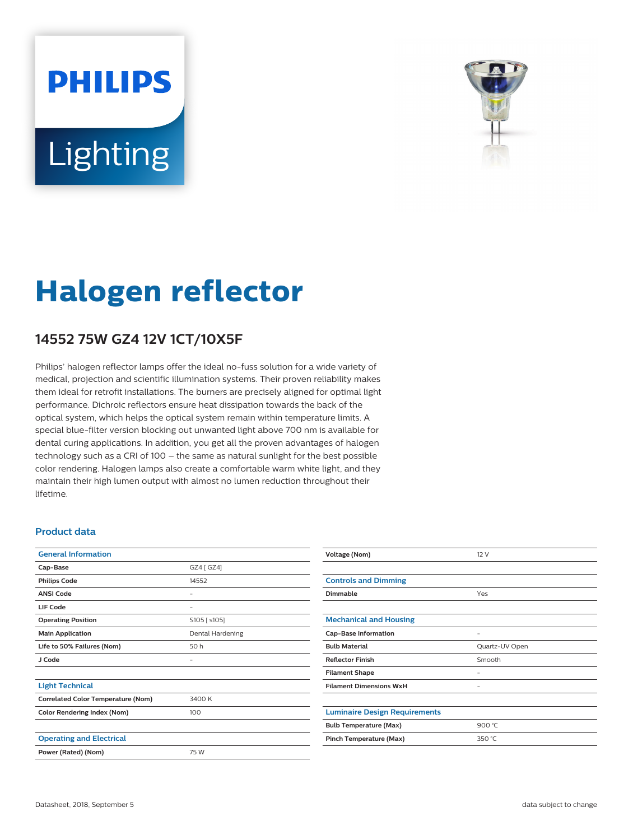# **PHILIPS** Lighting



## **Halogen reflector**

### **14552 75W GZ4 12V 1CT/10X5F**

Philips' halogen reflector lamps offer the ideal no-fuss solution for a wide variety of medical, projection and scientific illumination systems. Their proven reliability makes them ideal for retrofit installations. The burners are precisely aligned for optimal light performance. Dichroic reflectors ensure heat dissipation towards the back of the optical system, which helps the optical system remain within temperature limits. A special blue-filter version blocking out unwanted light above 700 nm is available for dental curing applications. In addition, you get all the proven advantages of halogen technology such as a CRI of 100 – the same as natural sunlight for the best possible color rendering. Halogen lamps also create a comfortable warm white light, and they maintain their high lumen output with almost no lumen reduction throughout their lifetime.

#### **Product data**

| <b>General Information</b>                |                  |  |
|-------------------------------------------|------------------|--|
| Cap-Base                                  | GZ4 [ GZ4]       |  |
| <b>Philips Code</b>                       | 14552            |  |
| <b>ANSI Code</b>                          | -                |  |
| <b>LIF Code</b>                           |                  |  |
| <b>Operating Position</b>                 | S105 [ s105]     |  |
| <b>Main Application</b>                   | Dental Hardening |  |
| Life to 50% Failures (Nom)                | 50 h             |  |
| J Code                                    |                  |  |
|                                           |                  |  |
| <b>Light Technical</b>                    |                  |  |
| <b>Correlated Color Temperature (Nom)</b> | 3400 K           |  |
| <b>Color Rendering Index (Nom)</b>        | 100              |  |
|                                           |                  |  |
| <b>Operating and Electrical</b>           |                  |  |
| Power (Rated) (Nom)                       | 75 W             |  |
|                                           |                  |  |

| Voltage (Nom)                        | 12V               |  |
|--------------------------------------|-------------------|--|
|                                      |                   |  |
| <b>Controls and Dimming</b>          |                   |  |
| Dimmable                             | Yes               |  |
|                                      |                   |  |
| <b>Mechanical and Housing</b>        |                   |  |
| <b>Cap-Base Information</b>          | $\qquad \qquad -$ |  |
| <b>Bulb Material</b>                 | Quartz-UV Open    |  |
| <b>Reflector Finish</b>              | Smooth            |  |
| <b>Filament Shape</b>                |                   |  |
| <b>Filament Dimensions WxH</b>       | -                 |  |
|                                      |                   |  |
| <b>Luminaire Design Requirements</b> |                   |  |
| <b>Bulb Temperature (Max)</b>        | 900 °C            |  |
| Pinch Temperature (Max)              | 350 °C            |  |
|                                      |                   |  |